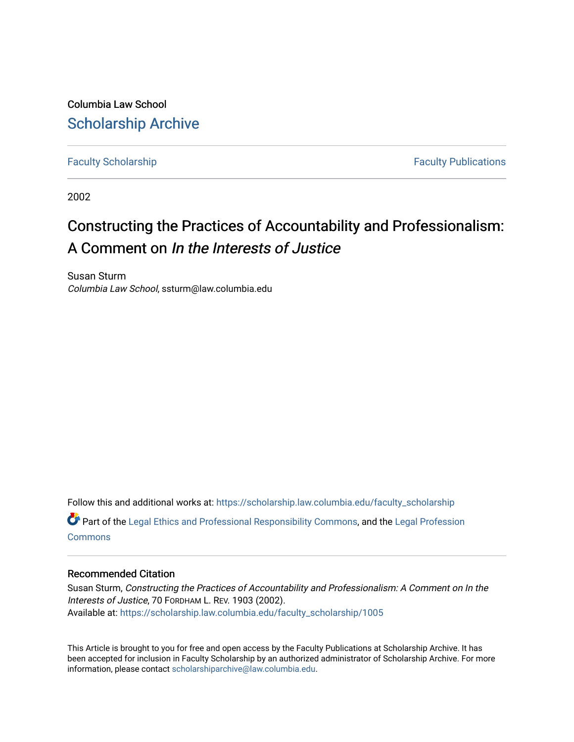Columbia Law School [Scholarship Archive](https://scholarship.law.columbia.edu/) 

[Faculty Scholarship](https://scholarship.law.columbia.edu/faculty_scholarship) **Faculty Scholarship Faculty Publications** 

2002

## Constructing the Practices of Accountability and Professionalism: A Comment on In the Interests of Justice

Susan Sturm Columbia Law School, ssturm@law.columbia.edu

Follow this and additional works at: [https://scholarship.law.columbia.edu/faculty\\_scholarship](https://scholarship.law.columbia.edu/faculty_scholarship?utm_source=scholarship.law.columbia.edu%2Ffaculty_scholarship%2F1005&utm_medium=PDF&utm_campaign=PDFCoverPages) Part of the [Legal Ethics and Professional Responsibility Commons](http://network.bepress.com/hgg/discipline/895?utm_source=scholarship.law.columbia.edu%2Ffaculty_scholarship%2F1005&utm_medium=PDF&utm_campaign=PDFCoverPages), and the [Legal Profession](http://network.bepress.com/hgg/discipline/1075?utm_source=scholarship.law.columbia.edu%2Ffaculty_scholarship%2F1005&utm_medium=PDF&utm_campaign=PDFCoverPages) **[Commons](http://network.bepress.com/hgg/discipline/1075?utm_source=scholarship.law.columbia.edu%2Ffaculty_scholarship%2F1005&utm_medium=PDF&utm_campaign=PDFCoverPages)** 

## Recommended Citation

Susan Sturm, Constructing the Practices of Accountability and Professionalism: A Comment on In the Interests of Justice, 70 FORDHAM L. REV. 1903 (2002). Available at: [https://scholarship.law.columbia.edu/faculty\\_scholarship/1005](https://scholarship.law.columbia.edu/faculty_scholarship/1005?utm_source=scholarship.law.columbia.edu%2Ffaculty_scholarship%2F1005&utm_medium=PDF&utm_campaign=PDFCoverPages)

This Article is brought to you for free and open access by the Faculty Publications at Scholarship Archive. It has been accepted for inclusion in Faculty Scholarship by an authorized administrator of Scholarship Archive. For more information, please contact [scholarshiparchive@law.columbia.edu.](mailto:scholarshiparchive@law.columbia.edu)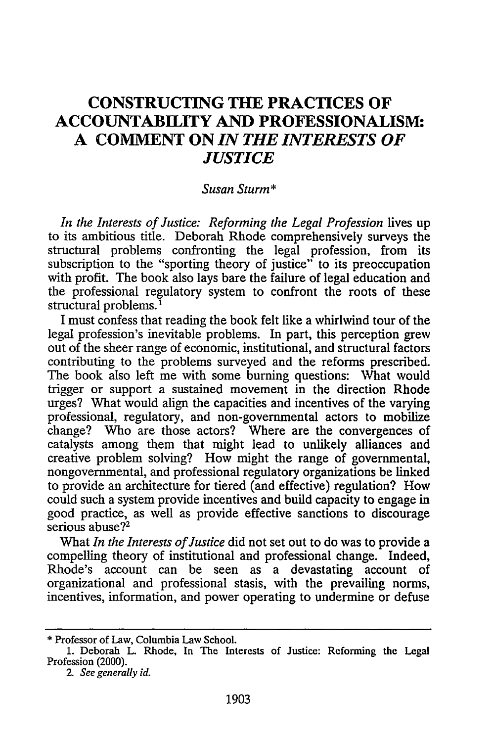## **CONSTRUCTING THE PRACTICES OF ACCOUNTABILITY AND PROFESSIONALISM: A COMMENT ON** *IN THE INTERESTS OF JUSTICE*

## *Susan Sturm\**

In the Interests of Justice: Reforming the Legal Profession lives up to its ambitious title. Deborah Rhode comprehensively surveys the structural problems confronting the legal profession, from its subscription to the "sporting theory of justice" to its preoccupation with profit. The book also lays bare the failure of legal education and the professional regulatory system to confront the roots of these structural problems.

I must confess that reading the book felt like a whirlwind tour of the legal profession's inevitable problems. In part, this perception grew out of the sheer range of economic, institutional, and structural factors contributing to the problems surveyed and the reforms prescribed. The book also left me with some burning questions: What would trigger or support a sustained movement in the direction Rhode urges? What would align the capacities and incentives of the varying professional, regulatory, and non-governmental actors to mobilize change? Who are those actors? Where are the convergences of catalysts among them that might lead to unlikely alliances and creative problem solving? How might the range of governmental, nongovernmental, and professional regulatory organizations be linked to provide an architecture for tiered (and effective) regulation? How could such a system provide incentives and build capacity to engage in good practice, as well as provide effective sanctions to discourage serious abuse?<sup>2</sup>

What *In the Interests of Justice* did not set out to do was to provide a compelling theory of institutional and professional change. Indeed, Rhode's account can be seen as a devastating account of organizational and professional stasis, with the prevailing norms, incentives, information, and power operating to undermine or defuse

<sup>\*</sup> Professor of Law, Columbia Law School.

<sup>1.</sup> Deborah L. Rhode, In The Interests of Justice: Reforming the Legal Profession (2000).

*<sup>2-</sup> See generally id.*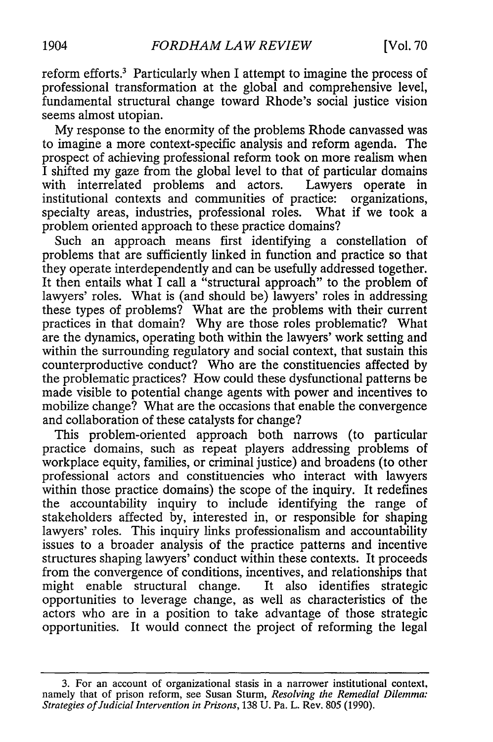reform efforts.<sup>3</sup> Particularly when I attempt to imagine the process of professional transformation at the global and comprehensive level, fundamental structural change toward Rhode's social justice vision seems almost utopian.

My response to the enormity of the problems Rhode canvassed was to imagine a more context-specific analysis and reform agenda. The prospect of achieving professional reform took on more realism when I shifted my gaze from the global level to that of particular domains with interrelated problems and actors. Lawyers operate in institutional contexts and communities of practice: organizations, specialty areas, industries, professional roles. What if we took a problem oriented approach to these practice domains?

Such an approach means first identifying a constellation of problems that are sufficiently linked in function and practice so that they operate interdependently and can be usefully addressed together. It then entails what I call a "structural approach" to the problem of lawyers' roles. What is (and should be) lawyers' roles in addressing these types of problems? What are the problems with their current practices in that domain? Why are those roles problematic? What are the dynamics, operating both within the lawyers' work setting and within the surrounding regulatory and social context, that sustain this counterproductive conduct? Who are the constituencies affected by the problematic practices? How could these dysfunctional patterns be made visible to potential change agents with power and incentives to mobilize change? What are the occasions that enable the convergence and collaboration of these catalysts for change?

This problem-oriented approach both narrows (to particular practice domains, such as repeat players addressing problems of workplace equity, families, or criminal justice) and broadens (to other professional actors and constituencies who interact with lawyers within those practice domains) the scope of the inquiry. It redefines the accountability inquiry to include identifying the range of stakeholders affected by, interested in, or responsible for shaping lawyers' roles. This inquiry links professionalism and accountability issues to a broader analysis of the practice patterns and incentive structures shaping lawyers' conduct within these contexts. It proceeds from the convergence of conditions, incentives, and relationships that might enable structural change. It also identifies strategic opportunities to leverage change, as well as characteristics of the actors who are in a position to take advantage of those strategic opportunities. It would connect the project of reforming the legal

<sup>3.</sup> For an account of organizational stasis in a narrower institutional context, namely that of prison reform, see Susan Sturm, *Resolving the Remedial Dilemma: Strategies of Judicial Intervention in Prisons,* 138 U. Pa. L. Rev. 805 (1990).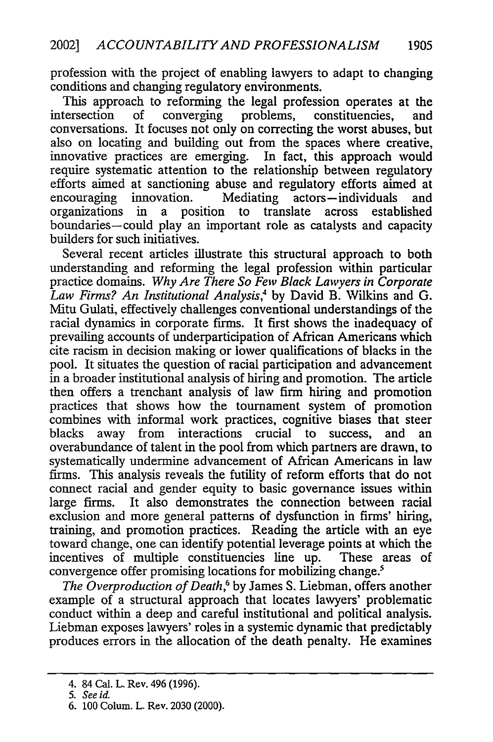profession with the project of enabling lawyers to adapt to changing conditions and changing regulatory environments.

This approach to reforming the legal profession operates at the intersection of converging problems, constituencies, and conversations. It focuses not only on correcting the worst abuses, but also on locating and building out from the spaces where creative, innovative practices are emerging. In fact, this approach would require systematic attention to the relationship between regulatory efforts aimed at sanctioning abuse and regulatory efforts aimed at encouraging innovation. Mediating actors-individuals and organizations in a position to translate across established boundaries-could play an important role as catalysts and capacity builders for such initiatives.

Several recent articles illustrate this structural approach to both understanding and reforming the legal profession within particular practice domains. *Why Are There So Few Black Lawyers in Corporate Law Firms? An Institutional Analysis,4* by David B. Wilkins and G. Mitu Gulati, effectively challenges conventional understandings of the racial dynamics in corporate firms. It first shows the inadequacy of prevailing accounts of underparticipation of African Americans which cite racism in decision making or lower qualifications of blacks in the pool. It situates the question of racial participation and advancement in a broader institutional analysis of hiring and promotion. The article then offers a trenchant analysis of law firm hiring and promotion practices that shows how the tournament system of promotion combines with informal work practices, cognitive biases that steer blacks away from interactions crucial to success, and an overabundance of talent in the pool from which partners are drawn, to systematically undermine advancement of African Americans in law firms. This analysis reveals the futility of reform efforts that do not connect racial and gender equity to basic governance issues within large firms. It also demonstrates the connection between racial exclusion and more general patterns of dysfunction in firms' hiring, training, and promotion practices. Reading the article with an eye toward change, one can identify potential leverage points at which the incentives of multiple constituencies line up. These areas of convergence offer promising locations for mobilizing change.<sup>5</sup>

*The Overproduction of Death,6* by James S. Liebman, offers another example of a structural approach that locates lawyers' problematic conduct within a deep and careful institutional and political analysis. Liebman exposes lawyers' roles in a systemic dynamic that predictably produces errors in the allocation of the death penalty. He examines

<sup>4. 84</sup> Cal. L. Rev. 496 (1996).

*<sup>5.</sup> See id-*

<sup>6. 100</sup> Colum. L. Rev. 2030 (2000).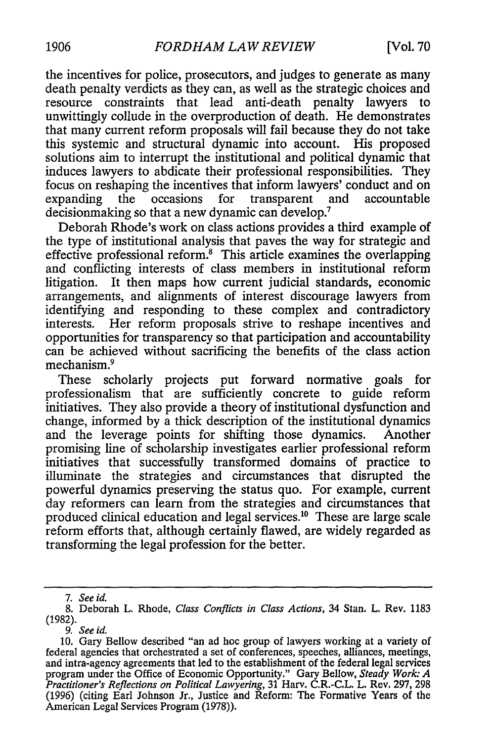the incentives for police, prosecutors, and judges to generate as many death penalty verdicts as they can, as well as the strategic choices and resource constraints that lead anti-death penalty lawyers to unwittingly collude in the overproduction of death. He demonstrates that many current reform proposals will fail because they do not take this systemic and structural dynamic into account. His proposed solutions aim to interrupt the institutional and political dynamic that induces lawyers to abdicate their professional responsibilities. They focus on reshaping the incentives that inform lawyers' conduct and on<br>expanding the occasions for transparent and accountable expanding the occasions for transparent and decision making so that a new dynamic can develop.<sup>7</sup>

Deborah Rhode's work on class actions provides a third example of the type of institutional analysis that paves the way for strategic and effective professional reform. This article examines the overlapping and conflicting interests of class members in institutional reform litigation. It then maps how current judicial standards, economic arrangements, and alignments of interest discourage lawyers from identifying and responding to these complex and contradictory interests. Her reform proposals strive to reshape incentives and opportunities for transparency so that participation and accountability can be achieved without sacrificing the benefits of the class action mechanism.<sup>9</sup>

These scholarly projects put forward normative goals for professionalism that are sufficiently concrete to guide reform initiatives. They also provide a theory of institutional dysfunction and change, informed by a thick description of the institutional dynamics and the leverage points for shifting those dynamics. Another promising line of scholarship investigates earlier professional reform initiatives that successfully transformed domains of practice to illuminate the strategies and circumstances that disrupted the powerful dynamics preserving the status quo. For example, current day reformers can learn from the strategies and circumstances that produced clinical education and legal services.1 " These are large scale reform efforts that, although certainly flawed, are widely regarded as transforming the legal profession for the better.

*<sup>7.</sup> See id.*

<sup>8.</sup> Deborah L. Rhode, *Class Conflicts in Class Actions,* 34 Stan. L. Rev. 1183 (1982).

*<sup>9.</sup> See id.*

<sup>10.</sup> Gary Bellow described "an ad hoc group of lawyers working at a variety of federal agencies that orchestrated a set of conferences, speeches, alliances, meetings, and intra-agency agreements that led to the establishment of the federal legal services program under the Office of Economic Opportunity." Gary Bellow, *Steady Work: A Practitioner's Reflections on Political Lawyering,* 31 Harv. C.R.-C.L. L. Rev. 297, 298 (1996) (citing Earl Johnson Jr., Justice and Reform: The Formative Years of the American Legal Services Program (1978)).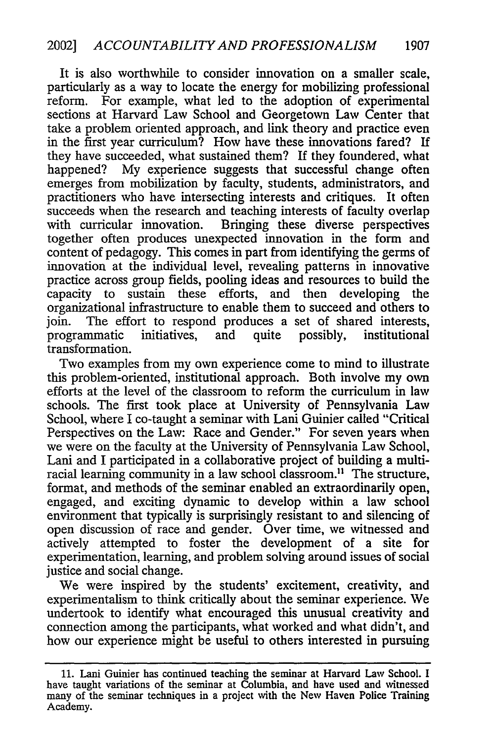It is also worthwhile to consider innovation on a smaller scale, particularly as a way to locate the energy for mobilizing professional reform. For example, what led to the adoption of experimental sections at Harvard Law School and Georgetown Law Center that take a problem oriented approach, and link theory and practice even in the first year curriculum? How have these innovations fared? If they have succeeded, what sustained them? If they foundered, what happened? My experience suggests that successful change often emerges from mobilization by faculty, students, administrators, and practitioners who have intersecting interests and critiques. It often succeeds when the research and teaching interests of faculty overlap with curricular innovation. Bringing these diverse perspectives together often produces unexpected innovation in the form and content of pedagogy. This comes in part from identifying the germs of innovation at the individual level, revealing patterns in innovative practice across group fields, pooling ideas and resources to build the capacity to sustain these efforts, and then developing the organizational infrastructure to enable them to succeed and others to join. The effort to respond produces a set of shared interests, programmatic initiatives, and quite possibly, institutional transformation.

Two examples from my own experience come to mind to illustrate this problem-oriented, institutional approach. Both involve my own efforts at the level of the classroom to reform the curriculum in law schools. The first took place at University of Pennsylvania Law School, where I co-taught a seminar with Lani Guinier called "Critical Perspectives on the Law: Race and Gender." For seven years when we were on the faculty at the University of Pennsylvania Law School, Lani and I participated in a collaborative project of building a multiracial learning community in a law school classroom.<sup>11</sup> The structure, format, and methods of the seminar enabled an extraordinarily open, engaged, and exciting dynamic to develop within a law school environment that typically is surprisingly resistant to and silencing of open discussion of race and gender. Over time, we witnessed and actively attempted to foster the development of a site for experimentation, learning, and problem solving around issues of social justice and social change.

We were inspired by the students' excitement, creativity, and experimentalism to think critically about the seminar experience. We undertook to identify what encouraged this unusual creativity and connection among the participants, what worked and what didn't, and how our experience might be useful to others interested in pursuing

**<sup>11.</sup>** Lani Guinier has continued teaching the seminar at Harvard Law School. **I** have taught variations of the seminar at Columbia, and have used and witnessed many of the seminar techniques in a project with the New Haven Police Training Academy.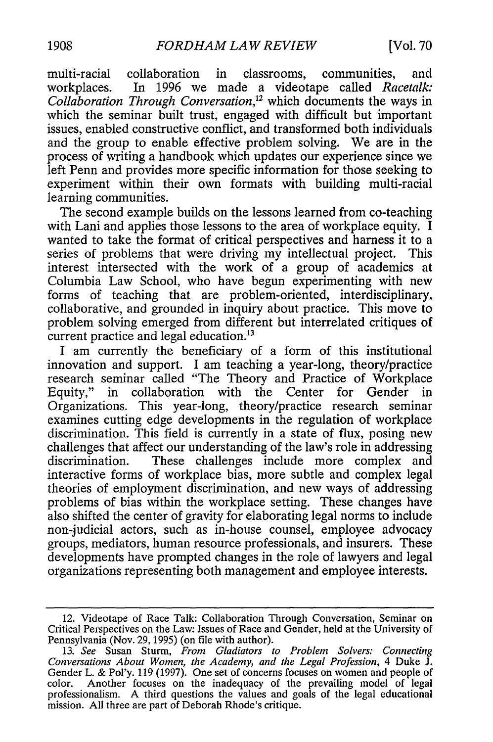multi-racial collaboration in classrooms, communities, and workplaces. In 1996 we made a videotape called *Racetalk: Collaboration Through Conversation,12* which documents the ways in which the seminar built trust, engaged with difficult but important issues, enabled constructive conflict, and transformed both individuals and the group to enable effective problem solving. We are in the process of writing a handbook which updates our experience since we left Penn and provides more specific information for those seeking to experiment within their own formats with building multi-racial learning communities.

The second example builds on the lessons learned from co-teaching with Lani and applies those lessons to the area of workplace equity. I wanted to take the format of critical perspectives and harness it to a series of problems that were driving my intellectual project. This interest intersected with the work of a group of academics at Columbia Law School, who have begun experimenting with new forms of teaching that are problem-oriented, interdisciplinary, collaborative, and grounded in inquiry about practice. This move to problem solving emerged from different but interrelated critiques of current practice and legal education.<sup>13</sup>

I am currently the beneficiary of a form of this institutional innovation and support. I am teaching a year-long, theory/practice research seminar called "The Theory and Practice of Workplace Equity," in collaboration with the Center for Gender in collaboration with the Center for Gender in Organizations. This year-long, theory/practice research seminar examines cutting edge developments in the regulation of workplace discrimination. This field is currently in a state of flux, posing new challenges that affect our understanding of the law's role in addressing discrimination. These challenges include more complex and interactive forms of workplace bias, more subtle and complex legal theories of employment discrimination, and new ways of addressing problems of bias within the workplace setting. These changes have also shifted the center of gravity for elaborating legal norms to include non-judicial actors, such as in-house counsel, employee advocacy groups, mediators, human resource professionals, and insurers. These developments have prompted changes in the role of lawyers and legal organizations representing both management and employee interests.

<sup>12.</sup> Videotape of Race Talk: Collaboration Through Conversation, Seminar on Critical Perspectives on the Law: Issues of Race and Gender, held at the University of Pennsylvania (Nov. 29, 1995) (on file with author).

<sup>13.</sup> *See* Susan Sturm, *From Gladiators to Problem Solvers: Connecting Conversations About Women, the Academy, and the Legal Profession,* 4 Duke J. Gender L. & Pol'y. 119 (1997). One set of concerns focuses on women and people of color. Another focuses on the inadequacy of the prevailing model of legal professionalism. A third questions the values and goals of the legal educational mission. All three are part of Deborah Rhode's critique.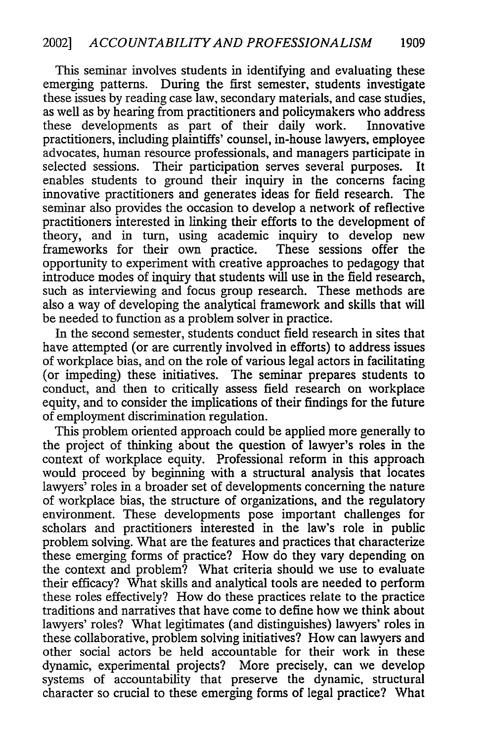This seminar involves students in identifying and evaluating these emerging patterns. During the first semester, students investigate these issues by reading case law, secondary materials, and case studies, as well as by hearing from practitioners and policymakers who address these developments as part of their daily work. Innovative practitioners, including plaintiffs' counsel, in-house lawyers, employee advocates, human resource professionals, and managers participate in selected sessions. Their participation serves several purposes. It enables students to ground their inquiry in the concerns facing innovative practitioners and generates ideas for field research. The seminar also provides the occasion to develop a network of reflective practitioners interested in linking their efforts to the development of theory, and in turn, using academic inquiry to develop new frameworks for their own practice. These sessions offer the opportunity to experiment with creative approaches to pedagogy that introduce modes of inquiry that students will use in the field research, such as interviewing and focus group research. These methods are also a way of developing the analytical framework and skills that will be needed to function as a problem solver in practice.

In the second semester, students conduct field research in sites that have attempted (or are currently involved in efforts) to address issues of workplace bias, and on the role of various legal actors in facilitating (or impeding) these initiatives. The seminar prepares students to conduct, and then to critically assess field research on workplace equity, and to consider the implications of their findings for the future of employment discrimination regulation.

This problem oriented approach could be applied more generally to the project of thinking about the question of lawyer's roles in the context of workplace equity. Professional reform in this approach would proceed by beginning with a structural analysis that locates lawyers' roles in a broader set of developments concerning the nature of workplace bias, the structure of organizations, and the regulatory environment. These developments pose important challenges for scholars and practitioners interested in the law's role in public problem solving. What are the features and practices that characterize these emerging forms of practice? How do they vary depending on the context and problem? What criteria should we use to evaluate their efficacy? What skills and analytical tools are needed to perform these roles effectively? How do these practices relate to the practice traditions and narratives that have come to define how we think about lawyers' roles? What legitimates (and distinguishes) lawyers' roles in these collaborative, problem solving initiatives? How can lawyers and other social actors be held accountable for their work in these dynamic, experimental projects? More precisely, can we develop systems of accountability that preserve the dynamic, structural character so crucial to these emerging forms of legal practice? What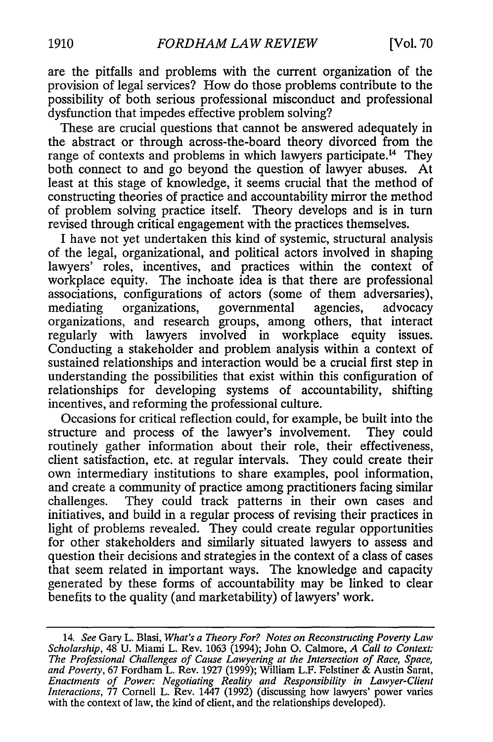are the pitfalls and problems with the current organization of the provision of legal services? How do those problems contribute to the possibility of both serious professional misconduct and professional dysfunction that impedes effective problem solving?

These are crucial questions that cannot be answered adequately in the abstract or through across-the-board theory divorced from the range of contexts and problems in which lawyers participate.<sup>14</sup> They both connect to and go beyond the question of lawyer abuses. At least at this stage of knowledge, it seems crucial that the method of constructing theories of practice and accountability mirror the method of problem solving practice itself. Theory develops and is in turn revised through critical engagement with the practices themselves.

I have not yet undertaken this kind of systemic, structural analysis of the legal, organizational, and political actors involved in shaping lawyers' roles, incentives, and practices within the context of workplace equity. The inchoate idea is that there are professional associations, configurations of actors (some of them adversaries), mediating organizations, governmental agencies, advocacy organizations, and research groups, among others, that interact regularly with lawyers involved in workplace equity issues. Conducting a stakeholder and problem analysis within a context of sustained relationships and interaction would be a crucial first step in understanding the possibilities that exist within this configuration of relationships for developing systems of accountability, shifting incentives, and reforming the professional culture.

Occasions for critical reflection could, for example, be built into the structure and process of the lawyer's involvement. They could routinely gather information about their role, their effectiveness, client satisfaction, etc. at regular intervals. They could create their own intermediary institutions to share examples, pool information, and create a community of practice among practitioners facing similar challenges. They could track patterns in their own cases and initiatives, and build in a regular process of revising their practices in light of problems revealed. They could create regular opportunities for other stakeholders and similarly situated lawyers to assess and question their decisions and strategies in the context of a class of cases that seem related in important ways. The knowledge and capacity generated by these forms of accountability may be linked to clear benefits to the quality (and marketability) of lawyers' work.

<sup>14.</sup> *See* Gary L. Blasi, *What's a Theory For? Notes on Reconstructing Poverty Law Scholarship,* 48 U. Miami L. Rev. 1063 (1994); John **0.** Calmore, *A Call to Context: The Professional Challenges of Cause Lawyering at the Intersection of Race, Space, and Poverty,* 67 Fordham L. Rev. 1927 (1999); William L.F. Felstiner & Austin Sarat, *Enactments of Power: Negotiating Reality and Responsibility in Lawyer-Client Interactions,* 77 Cornell L. Rev. 1447 (1992) (discussing how lawyers' power varies with the context of law, the kind of client, and the relationships developed).